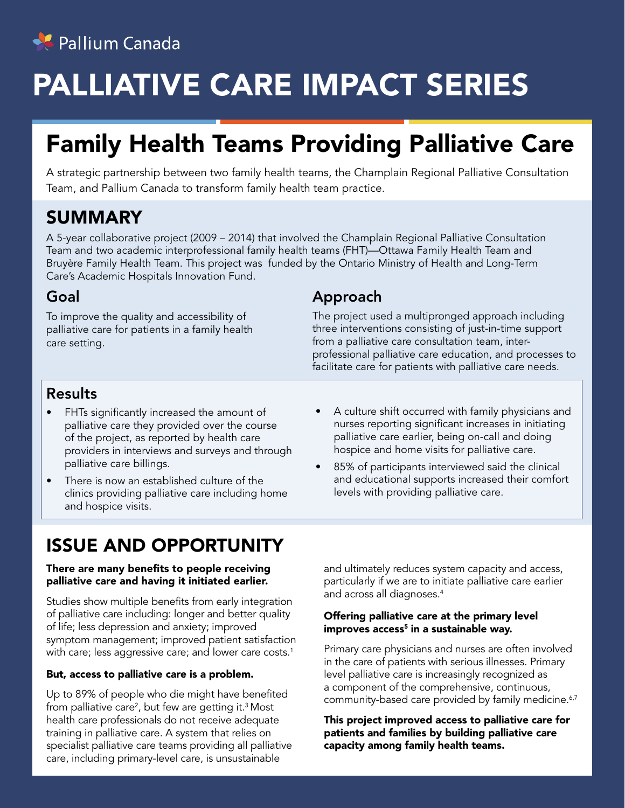

# PALLIATIVE CARE IMPACT SERIES

# Family Health Teams Providing Palliative Care

A strategic partnership between two family health teams, the Champlain Regional Palliative Consultation Team, and Pallium Canada to transform family health team practice.

# SUMMARY

A 5-year collaborative project (2009 – 2014) that involved the Champlain Regional Palliative Consultation Team and two academic interprofessional family health teams (FHT)—Ottawa Family Health Team and Bruyère Family Health Team. This project was funded by the Ontario Ministry of Health and Long-Term Care's Academic Hospitals Innovation Fund.

#### Goal

To improve the quality and accessibility of palliative care for patients in a family health care setting.

### Approach

The project used a multipronged approach including three interventions consisting of just-in-time support from a palliative care consultation team, interprofessional palliative care education, and processes to facilitate care for patients with palliative care needs.

#### Results

- FHTs significantly increased the amount of palliative care they provided over the course of the project, as reported by health care providers in interviews and surveys and through palliative care billings.
- There is now an established culture of the clinics providing palliative care including home and hospice visits.
- nurses reporting significant increases in initiating palliative care earlier, being on-call and doing hospice and home visits for palliative care. • 85% of participants interviewed said the clinical

levels with providing palliative care.

and educational supports increased their comfort

• A culture shift occurred with family physicians and

# ISSUE AND OPPORTUNITY

#### There are many benefits to people receiving palliative care and having it initiated earlier.

Studies show multiple benefits from early integration of palliative care including: longer and better quality of life; less depression and anxiety; improved symptom management; improved patient satisfaction with care; less aggressive care; and lower care costs.<sup>1</sup>

#### But, access to palliative care is a problem.

Up to 89% of people who die might have benefited from palliative care<sup>2</sup>, but few are getting it.<sup>3</sup> Most health care professionals do not receive adequate training in palliative care. A system that relies on specialist palliative care teams providing all palliative care, including primary-level care, is unsustainable

and ultimately reduces system capacity and access, particularly if we are to initiate palliative care earlier and across all diagnoses.4

#### Offering palliative care at the primary level improves access<sup>5</sup> in a sustainable way.

Primary care physicians and nurses are often involved in the care of patients with serious illnesses. Primary level palliative care is increasingly recognized as a component of the comprehensive, continuous, community-based care provided by family medicine.<sup>6,7</sup>

This project improved access to palliative care for patients and families by building palliative care capacity among family health teams.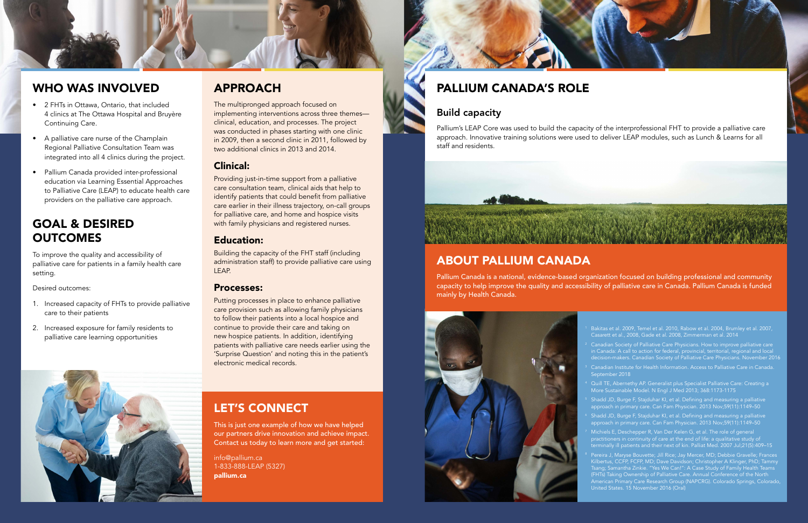### WHO WAS INVOLVED

# GOAL & DESIRED **OUTCOMES**

- 2 FHTs in Ottawa, Ontario, that included 4 clinics at The Ottawa Hospital and Bruyère Continuing Care.
- A palliative care nurse of the Champlain Regional Palliative Consultation Team was integrated into all 4 clinics during the project.
- Pallium Canada provided inter-professional education via Learning Essential Approaches to Palliative Care (LEAP) to educate health care providers on the palliative care approach.

To improve the quality and accessibility of palliative care for patients in a family health care setting.

Desired outcomes:

- 1. Increased capacity of FHTs to provide palliative care to their patients
- 2. Increased exposure for family residents to palliative care learning opportunities



## APPROACH

The multipronged approach focused on implementing interventions across three themes clinical, education, and processes. The project was conducted in phases starting with one clinic in 2009, then a second clinic in 2011, followed by two additional clinics in 2013 and 2014.

#### Clinical:

Pallium Canada is a national, evidence-based organization focused on building professional and community capacity to help improve the quality and accessibility of palliative care in Canada. Pallium Canada is funded mainly by Health Canada.





Providing just-in-time support from a palliative care consultation team, clinical aids that help to identify patients that could benefit from palliative care earlier in their illness trajectory, on-call groups for palliative care, and home and hospice visits with family physicians and registered nurses.

### Education:

 $2$  Canadian Society of Palliative Care Physicians. How to improve palliative care in Canada: A call to action for federal, provincial, territorial, regional and local decision-makers. Canadian Society of Palliative Care Physicians. November 2016

Building the capacity of the FHT staff (including administration staff) to provide palliative care using LEAP.

> <sup>4</sup> Quill TE, Abernethy AP. Generalist plus Specialist Palliative Care: Creating a More Sustainable Model. N Engl J Med 2013; 368:1173-1175

#### Processes:

Putting processes in place to enhance palliative care provision such as allowing family physicians to follow their patients into a local hospice and continue to provide their care and taking on new hospice patients. In addition, identifying patients with palliative care needs earlier using the 'Surprise Question' and noting this in the patient's electronic medical records.

> $7$  Michiels E, Deschepper R, Van Der Kelen G, et al. The role of general practitioners in continuity of care at the end of life: a qualitative study of terminally ill patients and their next of kin. Palliat Med. 2007 Jul;21(5):409–15

# LET'S CONNECT

This is just one example of how we have helped our partners drive innovation and achieve impact. Contact us today to learn more and get started:

info@pallium.ca 1-833-888-LEAP (5327) pallium.ca



## ABOUT PALLIUM CANADA

Casarett et al., 2008, Gade et al. 2008, Zimmerman et al. 2014

<sup>3</sup> Canadian Institute for Health Information. Access to Palliative Care in Canada. September 2018

<sup>5</sup> Shadd JD, Burge F, Stajduhar KI, et al. Defining and measuring a palliative approach in primary care. Can Fam Physician. 2013 Nov;59(11):1149–50

Shadd JD, Burge F, Stajduhar KI, et al. Defining and measuring a palliative

<sup>8</sup> Pereira J, Maryse Bouvette; Jill Rice; Jay Mercer, MD; Debbie Gravelle; Frances Kilbertus, CCFP, FCFP, MD; Dave Davidson; Christopher A Klinger, PhD; Tammy Tsang; Samantha Zinkie. "Yes We Can!": A Case Study of Family Health Teams (FHTs) Taking Ownership of Palliative Care. Annual Conference of the North American Primary Care Research Group (NAPCRG). Colorado Springs, Colorado, United States. 15 November 2016 (Oral)

# PALLIUM CANADA'S ROLE

### Build capacity

Pallium's LEAP Core was used to build the capacity of the interprofessional FHT to provide a palliative care approach. Innovative training solutions were used to deliver LEAP modules, such as Lunch & Learns for all staff and residents.